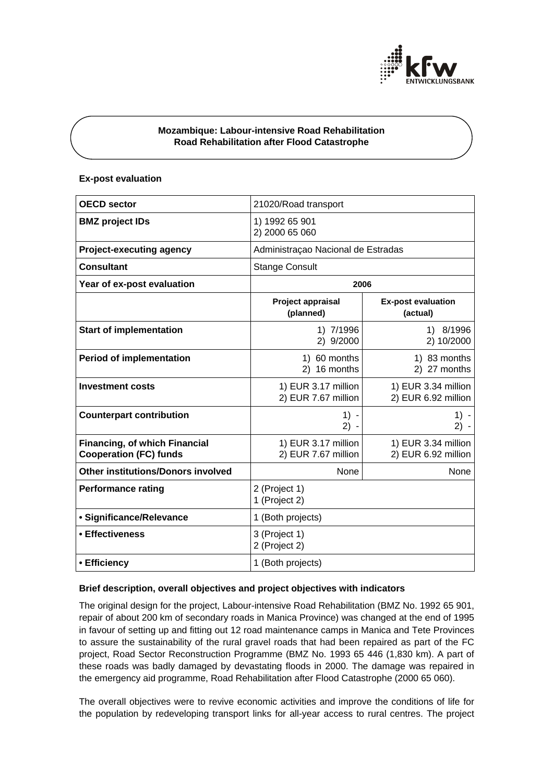

# **Mozambique: Labour-intensive Road Rehabilitation Road Rehabilitation after Flood Catastrophe**

## **Ex-post evaluation**

| <b>OECD sector</b>                                                    | 21020/Road transport                       |                                            |
|-----------------------------------------------------------------------|--------------------------------------------|--------------------------------------------|
| <b>BMZ</b> project IDs                                                | 1) 1992 65 901<br>2) 2000 65 060           |                                            |
| <b>Project-executing agency</b>                                       | Administraçao Nacional de Estradas         |                                            |
| <b>Consultant</b>                                                     | <b>Stange Consult</b>                      |                                            |
| Year of ex-post evaluation                                            | 2006                                       |                                            |
|                                                                       | Project appraisal<br>(planned)             | <b>Ex-post evaluation</b><br>(actual)      |
| <b>Start of implementation</b>                                        | 1) 7/1996<br>2) 9/2000                     | 1) 8/1996<br>2) 10/2000                    |
| <b>Period of implementation</b>                                       | 1) 60 months<br>2) 16 months               | 1) 83 months<br>2) 27 months               |
| <b>Investment costs</b>                                               | 1) EUR 3.17 million<br>2) EUR 7.67 million | 1) EUR 3.34 million<br>2) EUR 6.92 million |
| <b>Counterpart contribution</b>                                       | $1) -$<br>$2) -$                           | $1) -$<br>$2) -$                           |
| <b>Financing, of which Financial</b><br><b>Cooperation (FC) funds</b> | 1) EUR 3.17 million<br>2) EUR 7.67 million | 1) EUR 3.34 million<br>2) EUR 6.92 million |
| Other institutions/Donors involved                                    | None                                       | None                                       |
| <b>Performance rating</b>                                             | 2 (Project 1)<br>1 (Project 2)             |                                            |
| · Significance/Relevance                                              | 1 (Both projects)                          |                                            |
| • Effectiveness                                                       | 3 (Project 1)<br>2 (Project 2)             |                                            |
| • Efficiency                                                          | 1 (Both projects)                          |                                            |

## **Brief description, overall objectives and project objectives with indicators**

The original design for the project, Labour-intensive Road Rehabilitation (BMZ No. 1992 65 901, repair of about 200 km of secondary roads in Manica Province) was changed at the end of 1995 in favour of setting up and fitting out 12 road maintenance camps in Manica and Tete Provinces to assure the sustainability of the rural gravel roads that had been repaired as part of the FC project, Road Sector Reconstruction Programme (BMZ No. 1993 65 446 (1,830 km). A part of these roads was badly damaged by devastating floods in 2000. The damage was repaired in the emergency aid programme, Road Rehabilitation after Flood Catastrophe (2000 65 060).

The overall objectives were to revive economic activities and improve the conditions of life for the population by redeveloping transport links for all-year access to rural centres. The project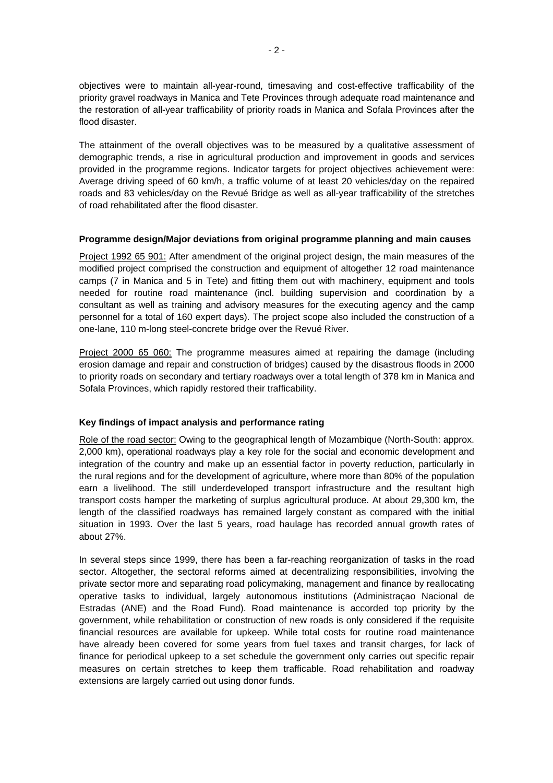objectives were to maintain all-year-round, timesaving and cost-effective trafficability of the priority gravel roadways in Manica and Tete Provinces through adequate road maintenance and the restoration of all-year trafficability of priority roads in Manica and Sofala Provinces after the flood disaster.

The attainment of the overall objectives was to be measured by a qualitative assessment of demographic trends, a rise in agricultural production and improvement in goods and services provided in the programme regions. Indicator targets for project objectives achievement were: Average driving speed of 60 km/h, a traffic volume of at least 20 vehicles/day on the repaired roads and 83 vehicles/day on the Revué Bridge as well as all-year trafficability of the stretches of road rehabilitated after the flood disaster.

## **Programme design/Major deviations from original programme planning and main causes**

Project 1992 65 901: After amendment of the original project design, the main measures of the modified project comprised the construction and equipment of altogether 12 road maintenance camps (7 in Manica and 5 in Tete) and fitting them out with machinery, equipment and tools needed for routine road maintenance (incl. building supervision and coordination by a consultant as well as training and advisory measures for the executing agency and the camp personnel for a total of 160 expert days). The project scope also included the construction of a one-lane, 110 m-long steel-concrete bridge over the Revué River.

Project 2000 65 060: The programme measures aimed at repairing the damage (including erosion damage and repair and construction of bridges) caused by the disastrous floods in 2000 to priority roads on secondary and tertiary roadways over a total length of 378 km in Manica and Sofala Provinces, which rapidly restored their trafficability.

## **Key findings of impact analysis and performance rating**

Role of the road sector: Owing to the geographical length of Mozambique (North-South: approx. 2,000 km), operational roadways play a key role for the social and economic development and integration of the country and make up an essential factor in poverty reduction, particularly in the rural regions and for the development of agriculture, where more than 80% of the population earn a livelihood. The still underdeveloped transport infrastructure and the resultant high transport costs hamper the marketing of surplus agricultural produce. At about 29,300 km, the length of the classified roadways has remained largely constant as compared with the initial situation in 1993. Over the last 5 years, road haulage has recorded annual growth rates of about 27%.

In several steps since 1999, there has been a far-reaching reorganization of tasks in the road sector. Altogether, the sectoral reforms aimed at decentralizing responsibilities, involving the private sector more and separating road policymaking, management and finance by reallocating operative tasks to individual, largely autonomous institutions (Administraçao Nacional de Estradas (ANE) and the Road Fund). Road maintenance is accorded top priority by the government, while rehabilitation or construction of new roads is only considered if the requisite financial resources are available for upkeep. While total costs for routine road maintenance have already been covered for some years from fuel taxes and transit charges, for lack of finance for periodical upkeep to a set schedule the government only carries out specific repair measures on certain stretches to keep them trafficable. Road rehabilitation and roadway extensions are largely carried out using donor funds.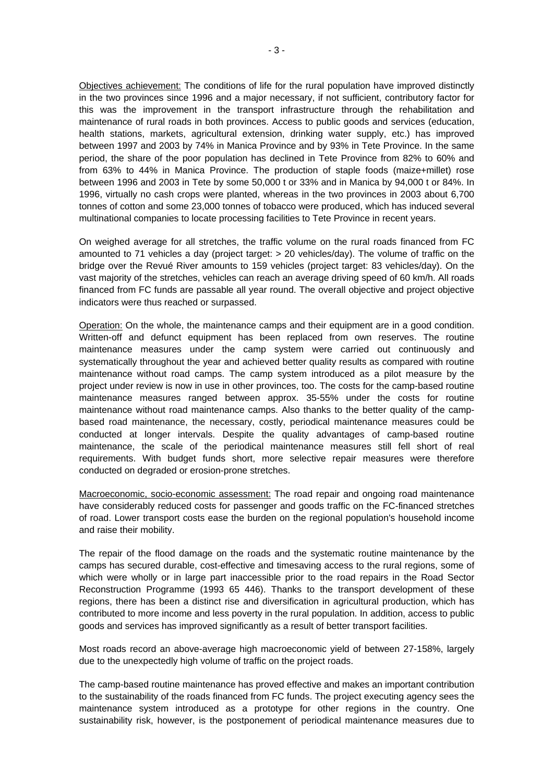Objectives achievement: The conditions of life for the rural population have improved distinctly in the two provinces since 1996 and a major necessary, if not sufficient, contributory factor for this was the improvement in the transport infrastructure through the rehabilitation and maintenance of rural roads in both provinces. Access to public goods and services (education, health stations, markets, agricultural extension, drinking water supply, etc.) has improved between 1997 and 2003 by 74% in Manica Province and by 93% in Tete Province. In the same period, the share of the poor population has declined in Tete Province from 82% to 60% and from 63% to 44% in Manica Province. The production of staple foods (maize+millet) rose between 1996 and 2003 in Tete by some 50,000 t or 33% and in Manica by 94,000 t or 84%. In 1996, virtually no cash crops were planted, whereas in the two provinces in 2003 about 6,700 tonnes of cotton and some 23,000 tonnes of tobacco were produced, which has induced several multinational companies to locate processing facilities to Tete Province in recent years.

On weighed average for all stretches, the traffic volume on the rural roads financed from FC amounted to 71 vehicles a day (project target: > 20 vehicles/day). The volume of traffic on the bridge over the Revué River amounts to 159 vehicles (project target: 83 vehicles/day). On the vast majority of the stretches, vehicles can reach an average driving speed of 60 km/h. All roads financed from FC funds are passable all year round. The overall objective and project objective indicators were thus reached or surpassed.

Operation: On the whole, the maintenance camps and their equipment are in a good condition. Written-off and defunct equipment has been replaced from own reserves. The routine maintenance measures under the camp system were carried out continuously and systematically throughout the year and achieved better quality results as compared with routine maintenance without road camps. The camp system introduced as a pilot measure by the project under review is now in use in other provinces, too. The costs for the camp-based routine maintenance measures ranged between approx. 35-55% under the costs for routine maintenance without road maintenance camps. Also thanks to the better quality of the campbased road maintenance, the necessary, costly, periodical maintenance measures could be conducted at longer intervals. Despite the quality advantages of camp-based routine maintenance, the scale of the periodical maintenance measures still fell short of real requirements. With budget funds short, more selective repair measures were therefore conducted on degraded or erosion-prone stretches.

Macroeconomic, socio-economic assessment: The road repair and ongoing road maintenance have considerably reduced costs for passenger and goods traffic on the FC-financed stretches of road. Lower transport costs ease the burden on the regional population's household income and raise their mobility.

The repair of the flood damage on the roads and the systematic routine maintenance by the camps has secured durable, cost-effective and timesaving access to the rural regions, some of which were wholly or in large part inaccessible prior to the road repairs in the Road Sector Reconstruction Programme (1993 65 446). Thanks to the transport development of these regions, there has been a distinct rise and diversification in agricultural production, which has contributed to more income and less poverty in the rural population. In addition, access to public goods and services has improved significantly as a result of better transport facilities.

Most roads record an above-average high macroeconomic yield of between 27-158%, largely due to the unexpectedly high volume of traffic on the project roads.

The camp-based routine maintenance has proved effective and makes an important contribution to the sustainability of the roads financed from FC funds. The project executing agency sees the maintenance system introduced as a prototype for other regions in the country. One sustainability risk, however, is the postponement of periodical maintenance measures due to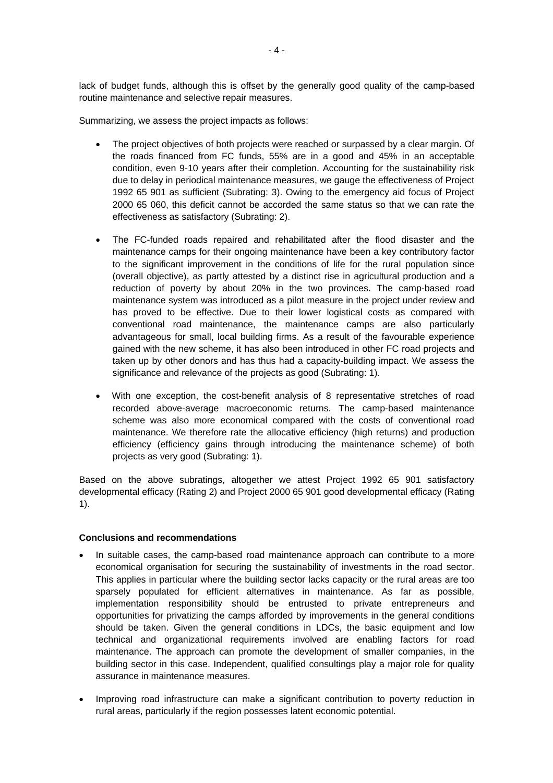lack of budget funds, although this is offset by the generally good quality of the camp-based routine maintenance and selective repair measures.

Summarizing, we assess the project impacts as follows:

- The project objectives of both projects were reached or surpassed by a clear margin. Of the roads financed from FC funds, 55% are in a good and 45% in an acceptable condition, even 9-10 years after their completion. Accounting for the sustainability risk due to delay in periodical maintenance measures, we gauge the effectiveness of Project 1992 65 901 as sufficient (Subrating: 3). Owing to the emergency aid focus of Project 2000 65 060, this deficit cannot be accorded the same status so that we can rate the effectiveness as satisfactory (Subrating: 2).
- The FC-funded roads repaired and rehabilitated after the flood disaster and the maintenance camps for their ongoing maintenance have been a key contributory factor to the significant improvement in the conditions of life for the rural population since (overall objective), as partly attested by a distinct rise in agricultural production and a reduction of poverty by about 20% in the two provinces. The camp-based road maintenance system was introduced as a pilot measure in the project under review and has proved to be effective. Due to their lower logistical costs as compared with conventional road maintenance, the maintenance camps are also particularly advantageous for small, local building firms. As a result of the favourable experience gained with the new scheme, it has also been introduced in other FC road projects and taken up by other donors and has thus had a capacity-building impact. We assess the significance and relevance of the projects as good (Subrating: 1).
- With one exception, the cost-benefit analysis of 8 representative stretches of road recorded above-average macroeconomic returns. The camp-based maintenance scheme was also more economical compared with the costs of conventional road maintenance. We therefore rate the allocative efficiency (high returns) and production efficiency (efficiency gains through introducing the maintenance scheme) of both projects as very good (Subrating: 1).

Based on the above subratings, altogether we attest Project 1992 65 901 satisfactory developmental efficacy (Rating 2) and Project 2000 65 901 good developmental efficacy (Rating 1).

## **Conclusions and recommendations**

- In suitable cases, the camp-based road maintenance approach can contribute to a more economical organisation for securing the sustainability of investments in the road sector. This applies in particular where the building sector lacks capacity or the rural areas are too sparsely populated for efficient alternatives in maintenance. As far as possible, implementation responsibility should be entrusted to private entrepreneurs and opportunities for privatizing the camps afforded by improvements in the general conditions should be taken. Given the general conditions in LDCs, the basic equipment and low technical and organizational requirements involved are enabling factors for road maintenance. The approach can promote the development of smaller companies, in the building sector in this case. Independent, qualified consultings play a major role for quality assurance in maintenance measures.
- Improving road infrastructure can make a significant contribution to poverty reduction in rural areas, particularly if the region possesses latent economic potential.